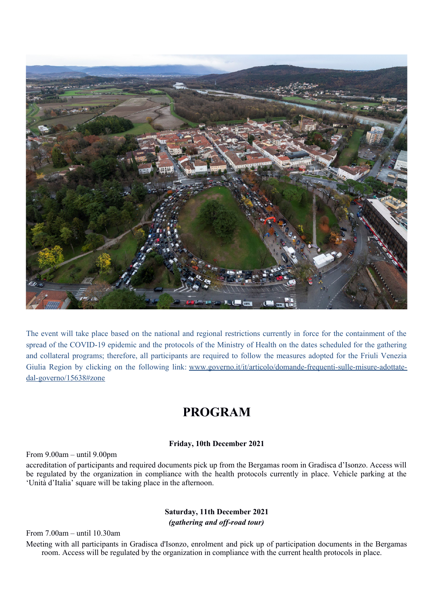

The event will take place based on the national and regional restrictions currently in force for the containment of the spread of the COVID-19 epidemic and the protocols of the Ministry of Health on the dates scheduled for the gathering and collateral programs; therefore, all participants are required to follow the measures adopted for the Friuli Venezia Giulia Region by clicking on the following link: [www.governo.it/it/articolo/domande-frequenti-sulle-misure-adottate](#page-0-0)[dal-governo/15638#zone](#page-0-0)

# <span id="page-0-0"></span>**PROGRAM**

### **Friday, 10th December 2021**

### From 9.00am – until 9.00pm

accreditation of participants and required documents pick up from the Bergamas room in Gradisca d'Isonzo. Access will be regulated by the organization in compliance with the health protocols currently in place. Vehicle parking at the 'Unità d'Italia' square will be taking place in the afternoon.

# **Saturday, 11th December 2021** *(gathering and off-road tour)*

From 7.00am – until 10.30am

Meeting with all participants in Gradisca d'Isonzo, enrolment and pick up of participation documents in the Bergamas room. Access will be regulated by the organization in compliance with the current health protocols in place.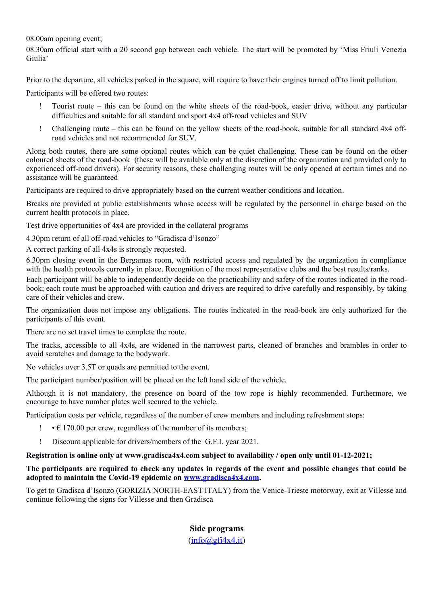08.00am opening event;

08.30am official start with a 20 second gap between each vehicle. The start will be promoted by 'Miss Friuli Venezia Giulia'

Prior to the departure, all vehicles parked in the square, will require to have their engines turned off to limit pollution.

Participants will be offered two routes:

- Tourist route this can be found on the white sheets of the road-book, easier drive, without any particular difficulties and suitable for all standard and sport 4x4 off-road vehicles and SUV
- Challenging route this can be found on the yellow sheets of the road-book, suitable for all standard 4x4 offroad vehicles and not recommended for SUV.

Along both routes, there are some optional routes which can be quiet challenging. These can be found on the other coloured sheets of the road-book (these will be available only at the discretion of the organization and provided only to experienced off-road drivers). For security reasons, these challenging routes will be only opened at certain times and no assistance will be guaranteed

Participants are required to drive appropriately based on the current weather conditions and location.

Breaks are provided at public establishments whose access will be regulated by the personnel in charge based on the current health protocols in place.

Test drive opportunities of 4x4 are provided in the collateral programs

4.30pm return of all off-road vehicles to "Gradisca d'Isonzo"

A correct parking of all 4x4s is strongly requested.

6.30pm closing event in the Bergamas room, with restricted access and regulated by the organization in compliance with the health protocols currently in place. Recognition of the most representative clubs and the best results/ranks.

Each participant will be able to independently decide on the practicability and safety of the routes indicated in the roadbook; each route must be approached with caution and drivers are required to drive carefully and responsibly, by taking care of their vehicles and crew.

The organization does not impose any obligations. The routes indicated in the road-book are only authorized for the participants of this event.

There are no set travel times to complete the route.

The tracks, accessible to all 4x4s, are widened in the narrowest parts, cleaned of branches and brambles in order to avoid scratches and damage to the bodywork.

No vehicles over 3.5T or quads are permitted to the event.

The participant number/position will be placed on the left hand side of the vehicle.

Although it is not mandatory, the presence on board of the tow rope is highly recommended. Furthermore, we encourage to have number plates well secured to the vehicle.

Participation costs per vehicle, regardless of the number of crew members and including refreshment stops:

- $\cdot \in 170.00$  per crew, regardless of the number of its members;
- Discount applicable for drivers/members of the G.F.I. year 2021.

# **Registration is online only at www.gradisca4x4.com subject to availability / open only until 01-12-2021;**

## **The participants are required to check any updates in regards of the event and possible changes that could be adopted to maintain the Covid-19 epidemic on [www.gradisca4x4.com.](http://www.gradisca4x4.com/)**

To get to Gradisca d'Isonzo (GORIZIA NORTH-EAST ITALY) from the Venice-Trieste motorway, exit at Villesse and continue following the signs for Villesse and then Gradisca

# **Side programs**

 $(info@gfi4x4.it)$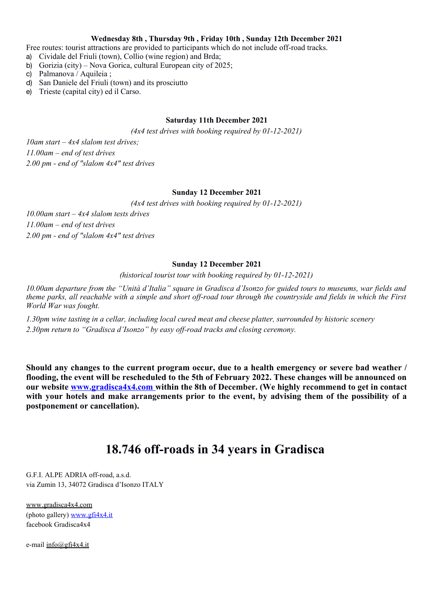#### **Wednesday 8th , Thursday 9th , Friday 10th , Sunday 12th December 2021**

- Free routes: tourist attractions are provided to participants which do not include off-road tracks.
- a) Cividale del Friuli (town), Collio (wine region) and Brda;
- b) Gorizia (city) Nova Gorica, cultural European city of 2025;
- c) Palmanova / Aquileia ;
- d) San Daniele del Friuli (town) and its prosciutto
- e) Trieste (capital city) ed il Carso.

## **Saturday 11th December 2021**

*(4x4 test drives with booking required by 01-12-2021)*

*10am start – 4x4 slalom test drives; 11.00am – end of test drives 2.00 pm - end of "slalom 4x4" test drives*

## **Sunday 12 December 2021**

*(4x4 test drives with booking required by 01-12-2021)*

*10.00am start – 4x4 slalom tests drives 11.00am – end of test drives 2.00 pm - end of "slalom 4x4" test drives* 

# **Sunday 12 December 2021**

*(historical tourist tour with booking required by 01-12-2021)*

*10.00am departure from the "Unità d'Italia" square in Gradisca d'Isonzo for guided tours to museums, war fields and theme parks, all reachable with a simple and short off-road tour through the countryside and fields in which the First World War was fought.*

*1.30pm wine tasting in a cellar, including local cured meat and cheese platter, surrounded by historic scenery 2.30pm return to "Gradisca d'Isonzo" by easy off-road tracks and closing ceremony.* 

**Should any changes to the current program occur, due to a health emergency or severe bad weather / flooding, the event will be rescheduled to the 5th of February 2022. These changes will be announced on our website [www.gradisca4x4.com](http://www.gradisca4x4.com/) within the 8th of December. (We highly recommend to get in contact with your hotels and make arrangements prior to the event, by advising them of the possibility of a postponement or cancellation).**

# **18.746 off-roads in 34 years in Gradisca**

G.F.I. ALPE ADRIA off-road, a.s.d. via Zumin 13, 34072 Gradisca d'Isonzo ITALY

[www.gradisca4x4.com](http://www.gradisca4x4.com/)  (photo gallery) [www.gfi4x4.it](http://www.gfi4x4.it/) facebook Gradisca4x4

e-mail [info@gfi4x4.it](mailto:info@gfi4x4.it)